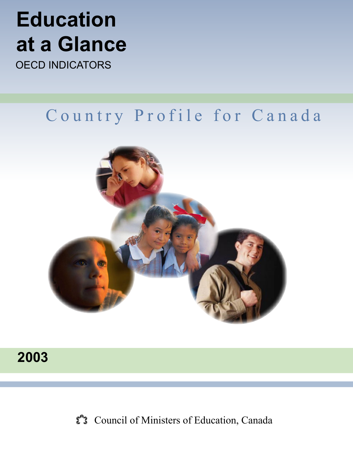## **Education at a Glance**

OECD INDICATORS

### Country Profile for Canada



**2003**

**1<sup>3</sup>** Council of Ministers of Education, Canada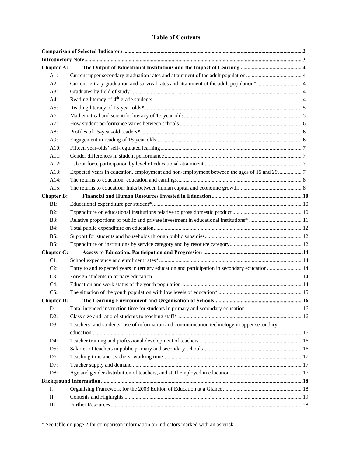#### **Table of Contents**

| <b>Chapter A:</b> |                                                                                              |  |
|-------------------|----------------------------------------------------------------------------------------------|--|
| $A1$ :            |                                                                                              |  |
| A2:               |                                                                                              |  |
| A3:               |                                                                                              |  |
| A4:               |                                                                                              |  |
| A5:               |                                                                                              |  |
| A6:               |                                                                                              |  |
| A7:               |                                                                                              |  |
| A8:               |                                                                                              |  |
| A9:               |                                                                                              |  |
| A10:              |                                                                                              |  |
| A11:              |                                                                                              |  |
| A12:              |                                                                                              |  |
| A13:              | Expected years in education, employment and non-employment between the ages of 15 and 29 7   |  |
| A14:              |                                                                                              |  |
| A15:              |                                                                                              |  |
| <b>Chapter B:</b> |                                                                                              |  |
| $B1$ :            |                                                                                              |  |
| B2:               |                                                                                              |  |
| B3:               | Relative proportions of public and private investment in educational institutions* 11        |  |
| B4:               |                                                                                              |  |
| B5:               |                                                                                              |  |
| <b>B6:</b>        |                                                                                              |  |
| <b>Chapter C:</b> |                                                                                              |  |
| $C1$ :            |                                                                                              |  |
| $C2$ :            | Entry to and expected years in tertiary education and participation in secondary education14 |  |
| $C3$ :            |                                                                                              |  |
| $C4$ :            |                                                                                              |  |
| C5:               |                                                                                              |  |
| <b>Chapter D:</b> |                                                                                              |  |
| D1:               |                                                                                              |  |
| $D2$ :            |                                                                                              |  |
| D3:               | Teachers' and students' use of information and communication technology in upper secondary   |  |
|                   |                                                                                              |  |
| $D4$ :            |                                                                                              |  |
| $D5$ :            |                                                                                              |  |
| D6:               |                                                                                              |  |
| D7:               |                                                                                              |  |
| D8:               |                                                                                              |  |
|                   |                                                                                              |  |
| I.                |                                                                                              |  |
| II.               |                                                                                              |  |
| III.              |                                                                                              |  |

\* See table on page 2 for comparison information on indicators marked with an asterisk.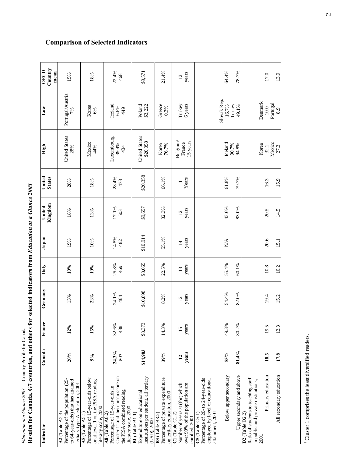|             | ļ |
|-------------|---|
|             |   |
|             | i |
|             |   |
|             |   |
|             |   |
|             |   |
|             |   |
|             | i |
|             |   |
|             |   |
| į<br>ì<br>ı |   |

| Indicator                                                                                                                                               | Canada                   | France       | Germany      | Italy        | Japan                   | Kingdom<br>United       | United<br><b>States</b> | High                             | Low                            | Country<br>OECD<br>mean |
|---------------------------------------------------------------------------------------------------------------------------------------------------------|--------------------------|--------------|--------------|--------------|-------------------------|-------------------------|-------------------------|----------------------------------|--------------------------------|-------------------------|
| Percentage of the population (25-<br>to 64-year-olds) that has attained<br>tertiary-type A education, 2001<br>$A2$ (Table $A2.3$ )                      | 20%                      | 12%          | 13%          | 10%          | 19%                     | 18%                     | 28%                     | <b>United States</b><br>28%      | Portugal/Austria<br>7%         | 15%                     |
| Percentage of 15-year-olds below<br>or at level 1 on the PISA reading<br>literacy scale, 2000<br>A5 (Table A5.1)                                        | 9%                       | 15%          | 23%          | 19%          | 10%                     | 13%                     | 18%                     | Mexico<br>44%                    | Korea<br>6%                    | 18%                     |
| Percentage of 15-year-olds in<br>Cluster 1 <sup>1</sup> and their mean score on<br>the PISA combined reading<br>literacy scale, 2000<br>A8 (Table A8.2) | 24.3%<br>507             | 32.6%<br>488 | 24.1%<br>464 | 25.8%<br>469 | 14.5%<br>482            | 17.1%<br>503            | 28.4%<br>478            | Luxembourg<br>39.4%<br>434       | Iceland<br>6.6%<br>449         | 22.4%<br>468            |
| institutions per student, all tertiary<br>Expenditure on educational<br>$B1$ (Table $B1.1$ )<br>(USD), 2000                                             | \$14,983                 | \$8,373      | \$10,898     | \$8,065      | \$10,914                | \$9,657                 | \$20,358                | <b>United States</b><br>\$20,358 | Poland<br>\$3,222              | \$9,571                 |
| Percentage of private expenditure<br>on tertiary education, 2000<br>B3 (Table B3.2)                                                                     | 39%                      | 14.3%        | 8.2%         | 22.5%        | 55.1%                   | 32.3%                   | 66.1%                   | Korea<br>76.7%                   | Greece<br>0.3%                 | 21.4%                   |
| Number of years at (for) which<br>over 90% of the population are<br>$CI$ (Table $CI.2$ )<br>enrolled, 2001                                              | years<br>$\overline{12}$ | years<br>15  | years<br>12  | years<br>13  | years<br>$\overline{4}$ | years<br>$\overline{2}$ | Years<br>$\equiv$       | Belgium<br>15 years<br>France    | 6 years<br>Turkey              | years<br>$\overline{c}$ |
| Percentage of 20- to 24-year-olds<br>employed by level of educational<br>attainment, 2001<br>$CS$ (Table $CS(1)$                                        |                          |              |              |              |                         |                         |                         |                                  |                                |                         |
| Below upper secondary                                                                                                                                   | 55%                      | 49.3%        | 54.4%        | 55.4%        | $\mathbf{N}\mathbf{A}$  | 43.6%                   | 61.8%                   | Iceland<br>90.7%                 | Slovak Rep.<br>Turkey<br>16.7% | 64.4%                   |
| Upper secondary and above                                                                                                                               | 81.4%                    | 80.2%        | 82.0%        | 60.1%        |                         | 83.0%                   | 79.7%                   | 94.8%                            | 49.1%                          | 78.7%                   |
| Ratio of students to teaching staff<br>in public and private institutions,<br>$D2$ (Table $D2.2$ )<br>2001                                              |                          |              |              |              |                         |                         |                         | Korea                            | Denmark                        |                         |
| Primary education                                                                                                                                       | 18.3                     | 19.5         | 19.4         | 10.8         | 20.6                    | 20.5                    | 16.3                    | 32.1                             | Portugal<br>10.0               | 17.0                    |
| All secondary education                                                                                                                                 | 17.8                     | 12.3         | 15.2         | 10.2         | 15.1                    | 14.5                    | 15.9                    | Mexico<br>27.3                   | 8.9                            | 13.9                    |

# $^{\rm I}$  Cluster 1 comprises the least diversified readers. 1 Cluster 1 comprises the least diversified readers.

#### **Comparison of Selected Indicators**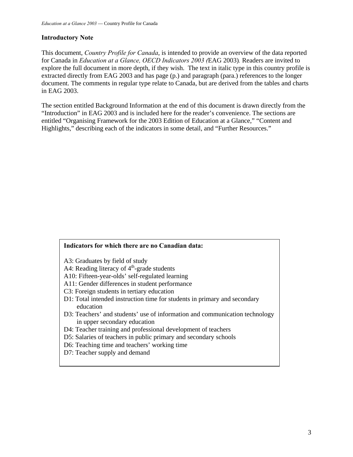#### **Introductory Note**

This document, *Country Profile for Canada*, is intended to provide an overview of the data reported for Canada in *Education at a Glance, OECD Indicators 2003 (*EAG 2003)*.* Readers are invited to explore the full document in more depth, if they wish. The text in italic type in this country profile is extracted directly from EAG 2003 and has page (p.) and paragraph (para.) references to the longer document. The comments in regular type relate to Canada, but are derived from the tables and charts in EAG 2003.

The section entitled Background Information at the end of this document is drawn directly from the "Introduction" in EAG 2003 and is included here for the reader's convenience. The sections are entitled "Organising Framework for the 2003 Edition of Education at a Glance," "Content and Highlights," describing each of the indicators in some detail, and "Further Resources."

#### **Indicators for which there are no Canadian data:**

A3: Graduates by field of study

A4: Reading literacy of  $4<sup>th</sup>$ -grade students

A10: Fifteen-year-olds' self-regulated learning

A11: Gender differences in student performance

- C3: Foreign students in tertiary education
- D1: Total intended instruction time for students in primary and secondary education
- D3: Teachers' and students' use of information and communication technology in upper secondary education

D4: Teacher training and professional development of teachers

D5: Salaries of teachers in public primary and secondary schools

- D6: Teaching time and teachers' working time
- D7: Teacher supply and demand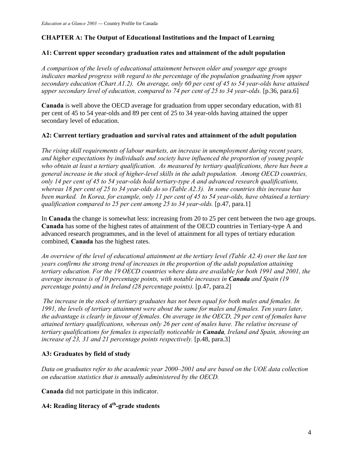#### **CHAPTER A: The Output of Educational Institutions and the Impact of Learning**

#### **A1: Current upper secondary graduation rates and attainment of the adult population**

*A comparison of the levels of educational attainment between older and younger age groups indicates marked progress with regard to the percentage of the population graduating from upper secondary education (Chart A1.2). On average, only 60 per cent of 45 to 54 year-olds have attained upper secondary level of education, compared to 74 per cent of 25 to 34 year-olds.* [p.36, para.6]

**Canada** is well above the OECD average for graduation from upper secondary education, with 81 per cent of 45 to 54 year-olds and 89 per cent of 25 to 34 year-olds having attained the upper secondary level of education.

#### **A2: Current tertiary graduation and survival rates and attainment of the adult population**

*The rising skill requirements of labour markets, an increase in unemployment during recent years, and higher expectations by individuals and society have influenced the proportion of young people who obtain at least a tertiary qualification. As measured by tertiary qualifications, there has been a general increase in the stock of higher-level skills in the adult population. Among OECD countries, only 14 per cent of 45 to 54 year-olds hold tertiary-type A and advanced research qualifications, whereas 18 per cent of 25 to 34 year-olds do so (Table A2.3). In some countries this increase has been marked. In Korea, for example, only 11 per cent of 45 to 54 year-olds, have obtained a tertiary qualification compared to 25 per cent among 25 to 34 year-olds.* [p.47, para.1]

In **Canada** the change is somewhat less: increasing from 20 to 25 per cent between the two age groups. **Canada** has some of the highest rates of attainment of the OECD countries in Tertiary-type A and advanced research programmes, and in the level of attainment for all types of tertiary education combined, **Canada** has the highest rates.

*An overview of the level of educational attainment at the tertiary level (Table A2.4) over the last ten years confirms the strong trend of increases in the proportion of the adult population attaining tertiary education. For the 19 OECD countries where data are available for both 1991 and 2001, the average increase is of 10 percentage points, with notable increases in Canada and Spain (19 percentage points) and in Ireland (28 percentage points).* [p.47, para.2]

 *The increase in the stock of tertiary graduates has not been equal for both males and females. In 1991, the levels of tertiary attainment were about the same for males and females. Ten years later, the advantage is clearly in favour of females. On average in the OECD, 29 per cent of females have attained tertiary qualifications, whereas only 26 per cent of males have. The relative increase of tertiary qualifications for females is especially noticeable in Canada, Ireland and Spain, showing an increase of 23, 31 and 21 percentage points respectively.* [p.48, para.3]

#### **A3: Graduates by field of study**

*Data on graduates refer to the academic year 2000–2001 and are based on the UOE data collection on education statistics that is annually administered by the OECD.*

**Canada** did not participate in this indicator.

#### **A4: Reading literacy of 4th-grade students**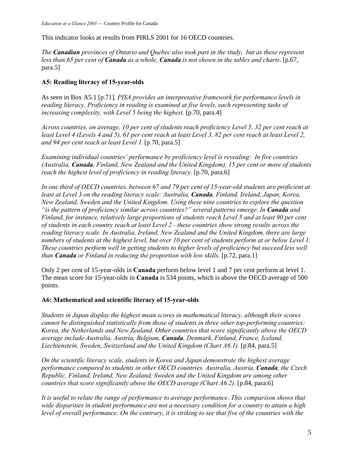This indicator looks at results from PIRLS 2001 for 16 OECD countries.

*The Canadian provinces of Ontario and Quebec also took part in the study, but as these represent less than 65 per cent of Canada as a whole, Canada is not shown in the tables and charts*. [p.67, para.5]

#### **A5: Reading literacy of 15-year-olds**

As seen in Box A5.1 [p.71]*, PISA provides an interpretative framework for performance levels in reading literacy. Proficiency in reading is examined at five levels, each representing tasks of increasing complexity, with Level 5 being the highest.* [p.70, para.4]

*Across countries, on average, 10 per cent of students reach proficiency Level 5, 32 per cent reach at least Level 4 (Levels 4 and 5), 61 per cent reach at least Level 3, 82 per cent reach at least Level 2, and 94 per cent reach at least Level 1.*[p.70, para.5]

*Examining individual countries' performance by proficiency level is revealing: In five countries (Australia, Canada, Finland, New Zealand and the United Kingdom), 15 per cent or more of students reach the highest level of proficiency in reading literacy.* [p.70, para.6]

*In one third of OECD countries, between 67 and 79 per cent of 15-year-old students are proficient at least at Level 3 on the reading literacy scale: Australia, Canada, Finland, Ireland, Japan, Korea, New Zealand, Sweden and the United Kingdom. Using these nine countries to explore the question*  "is the pattern of proficiency similar across countries?" several patterns emerge. In **Canada** and *Finland, for instance, relatively large proportions of students reach Level 5 and at least 90 per cent of students in each country reach at least Level 2 - these countries show strong results across the reading literacy scale. In Australia, Ireland, New Zealand and the United Kingdom, there are large numbers of students at the highest level, but over 10 per cent of students perform at or below Level 1. These countries perform well in getting students to higher levels of proficiency but succeed less well than Canada* or Finland in reducing the proportion with low skills. [p.72, para.1]

Only 2 per cent of 15-year-olds in **Canada** perform below level 1 and 7 per cent perform at level 1. The mean score for 15-year-olds in **Canada** is 534 points, which is above the OECD average of 500 points.

#### **A6: Mathematical and scientific literacy of 15-year-olds**

*Students in Japan display the highest mean scores in mathematical literacy, although their scores cannot be distinguished statistically from those of students in three other top-performing countries: Korea, the Netherlands and New Zealand. Other countries that score significantly above the OECD average include Australia, Austria, Belgium, Canada, Denmark, Finland, France, Iceland,*  Liechtenstein, Sweden, Switzerland and the United Kingdom (Chart A6.1). [p.84, para.5]

*On the scientific literacy scale, students in Korea and Japan demonstrate the highest average performance compared to students in other OECD countries. Australia, Austria, Canada, the Czech Republic, Finland, Ireland, New Zealand, Sweden and the United Kingdom are among other countries that score significantly above the OECD average (Chart A6.2).* [p.84, para.6]

*It is useful to relate the range of performance to average performance. This comparison shows that wide disparities in student performance are not a necessary condition for a country to attain a high level of overall performance. On the contrary, it is striking to see that five of the countries with the*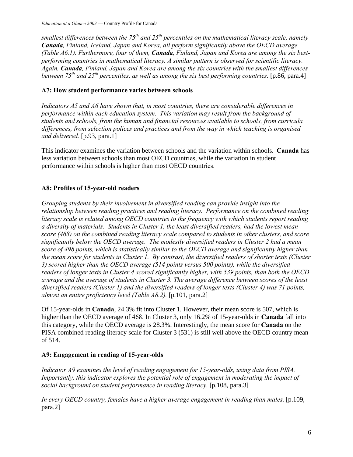*smallest differences between the 75th and 25th percentiles on the mathematical literacy scale, namely Canada, Finland, Iceland, Japan and Korea, all perform significantly above the OECD average (Table A6.1). Furthermore, four of them, Canada, Finland, Japan and Korea are among the six bestperforming countries in mathematical literacy. A similar pattern is observed for scientific literacy. Again, Canada, Finland, Japan and Korea are among the six countries with the smallest differences between 75<sup>th</sup> and 25<sup>th</sup> percentiles, as well as among the six best performing countries.* [p.86, para.4]

#### **A7: How student performance varies between schools**

*Indicators A5 and A6 have shown that, in most countries, there are considerable differences in performance within each education system. This variation may result from the background of students and schools, from the human and financial resources available to schools, from curricula differences, from selection polices and practices and from the way in which teaching is organised and delivered.* [p.93, para.1]

This indicator examines the variation between schools and the variation within schools. **Canada** has less variation between schools than most OECD countries, while the variation in student performance within schools is higher than most OECD countries.

#### **A8: Profiles of 15-year-old readers**

*Grouping students by their involvement in diversified reading can provide insight into the relationship between reading practices and reading literacy. Performance on the combined reading literacy scale is related among OECD countries to the frequency with which students report reading a diversity of materials. Students in Cluster 1, the least diversified readers, had the lowest mean score (468) on the combined reading literacy scale compared to students in other clusters, and score significantly below the OECD average. The modestly diversified readers in Cluster 2 had a mean score of 498 points, which is statistically similar to the OECD average and significantly higher than the mean score for students in Cluster 1. By contrast, the diversified readers of shorter texts (Cluster 3) scored higher than the OECD average (514 points versus 500 points), while the diversified readers of longer texts in Cluster 4 scored significantly higher, with 539 points, than both the OECD average and the average of students in Cluster 3. The average difference between scores of the least diversified readers (Cluster 1) and the diversified readers of longer texts (Cluster 4) was 71 points, almost an entire proficiency level (Table A8.2).* [p.101, para.2]

Of 15-year-olds in **Canada**, 24.3% fit into Cluster 1. However, their mean score is 507, which is higher than the OECD average of 468. In Cluster 3, only 16.2% of 15-year-olds in **Canada** fall into this category, while the OECD average is 28.3%. Interestingly, the mean score for **Canada** on the PISA combined reading literacy scale for Cluster 3 (531) is still well above the OECD country mean of 514.

#### **A9: Engagement in reading of 15-year-olds**

*Indicator A9 examines the level of reading engagement for 15-year-olds, using data from PISA. Importantly, this indicator explores the potential role of engagement in moderating the impact of social background on student performance in reading literacy.* [p.108, para.3]

In every OECD country, females have a higher average engagement in reading than males. [p.109, para.2]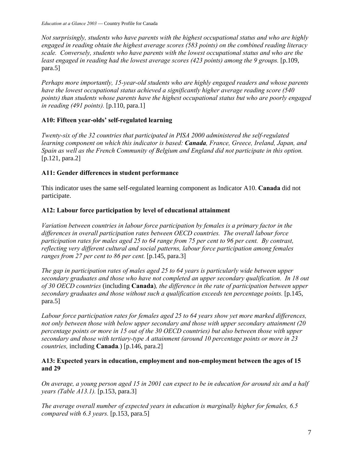*Not surprisingly, students who have parents with the highest occupational status and who are highly engaged in reading obtain the highest average scores (583 points) on the combined reading literacy scale. Conversely, students who have parents with the lowest occupational status and who are the least engaged in reading had the lowest average scores (423 points) among the 9 groups.* [p.109, para.5]

*Perhaps more importantly, 15-year-old students who are highly engaged readers and whose parents have the lowest occupational status achieved a significantly higher average reading score (540 points) than students whose parents have the highest occupational status but who are poorly engaged in reading (491 points).* [p.110, para.1]

#### **A10: Fifteen year-olds' self-regulated learning**

*Twenty-six of the 32 countries that participated in PISA 2000 administered the self-regulated learning component on which this indicator is based: Canada, France, Greece, Ireland, Japan, and Spain as well as the French Community of Belgium and England did not participate in this option.* [p.121, para.2]

#### **A11: Gender differences in student performance**

This indicator uses the same self-regulated learning component as Indicator A10. **Canada** did not participate.

#### **A12: Labour force participation by level of educational attainment**

*Variation between countries in labour force participation by females is a primary factor in the differences in overall participation rates between OECD countries. The overall labour force participation rates for males aged 25 to 64 range from 75 per cent to 96 per cent. By contrast, reflecting very different cultural and social patterns, labour force participation among females ranges from 27 per cent to 86 per cent.* [p.145, para.3]

*The gap in participation rates of males aged 25 to 64 years is particularly wide between upper secondary graduates and those who have not completed an upper secondary qualification. In 18 out of 30 OECD countries* (including **Canada**)*, the difference in the rate of participation between upper secondary graduates and those without such a qualification exceeds ten percentage points.* [p.145, para.5]

*Labour force participation rates for females aged 25 to 64 years show yet more marked differences, not only between those with below upper secondary and those with upper secondary attainment (20 percentage points or more in 15 out of the 30 OECD countries) but also between those with upper secondary and those with tertiary-type A attainment (around 10 percentage points or more in 23 countries,* including **Canada***.*) [p.146, para.2]

#### **A13: Expected years in education, employment and non-employment between the ages of 15 and 29**

*On average, a young person aged 15 in 2001 can expect to be in education for around six and a half years (Table A13.1).* [p.153, para.3]

*The average overall number of expected years in education is marginally higher for females, 6.5 compared with 6.3 years.* [p.153, para.5]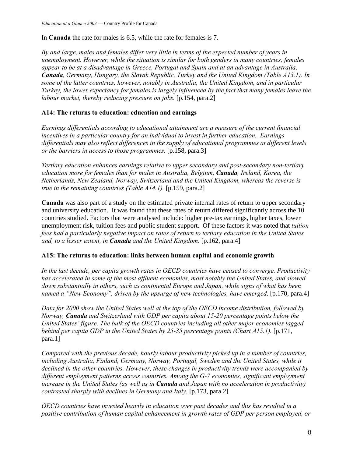In **Canada** the rate for males is 6.5, while the rate for females is 7.

*By and large, males and females differ very little in terms of the expected number of years in unemployment. However, while the situation is similar for both genders in many countries, females appear to be at a disadvantage in Greece, Portugal and Spain and at an advantage in Australia, Canada, Germany, Hungary, the Slovak Republic, Turkey and the United Kingdom (Table A13.1). In some of the latter countries, however, notably in Australia, the United Kingdom, and in particular Turkey, the lower expectancy for females is largely influenced by the fact that many females leave the labour market, thereby reducing pressure on jobs.* [p.154, para.2]

#### **A14: The returns to education: education and earnings**

*Earnings differentials according to educational attainment are a measure of the current financial incentives in a particular country for an individual to invest in further education. Earnings differentials may also reflect differences in the supply of educational programmes at different levels or the barriers in access to those programmes.* [p.158, para.3]

*Tertiary education enhances earnings relative to upper secondary and post-secondary non-tertiary education more for females than for males in Australia, Belgium, Canada, Ireland, Korea, the Netherlands, New Zealand, Norway, Switzerland and the United Kingdom, whereas the reverse is true in the remaining countries (Table A14.1).* [p.159, para.2]

**Canada** was also part of a study on the estimated private internal rates of return to upper secondary and university education. It was found that these rates of return differed significantly across the 10 countries studied. Factors that were analysed include: higher pre-tax earnings, higher taxes, lower unemployment risk, tuition fees and public student support. Of these factors it was noted that *tuition fees had a particularly negative impact on rates of return to tertiary education in the United States and, to a lesser extent, in Canada and the United Kingdom*. [p.162, para.4]

#### **A15: The returns to education: links between human capital and economic growth**

*In the last decade, per capita growth rates in OECD countries have ceased to converge. Productivity has accelerated in some of the most affluent economies, most notably the United States, and slowed down substantially in others, such as continental Europe and Japan, while signs of what has been named a "New Economy", driven by the upsurge of new technologies, have emerged*. [p.170, para.4]

*Data for 2000 show the United States well at the top of the OECD income distribution, followed by Norway, Canada and Switzerland with GDP per capita about 15-20 percentage points below the United States' figure. The bulk of the OECD countries including all other major economies lagged behind per capita GDP in the United States by 25-35 percentage points (Chart A15.1).* [p.171, para.1]

*Compared with the previous decade, hourly labour productivity picked up in a number of countries, including Australia, Finland, Germany, Norway, Portugal, Sweden and the United States, while it declined in the other countries. However, these changes in productivity trends were accompanied by different employment patterns across countries. Among the G-7 economies, significant employment increase in the United States (as well as in Canada and Japan with no acceleration in productivity) contrasted sharply with declines in Germany and Italy.* [p.173, para.2]

*OECD countries have invested heavily in education over past decades and this has resulted in a positive contribution of human capital enhancement in growth rates of GDP per person employed, or*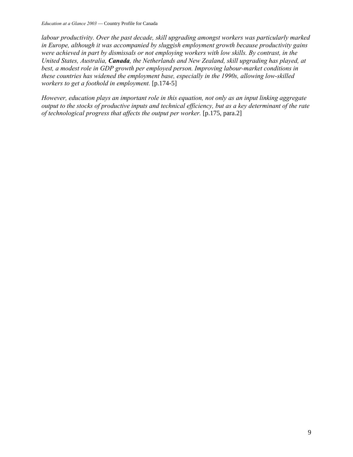*labour productivity. Over the past decade, skill upgrading amongst workers was particularly marked in Europe, although it was accompanied by sluggish employment growth because productivity gains were achieved in part by dismissals or not employing workers with low skills. By contrast, in the United States, Australia, Canada, the Netherlands and New Zealand, skill upgrading has played, at best, a modest role in GDP growth per employed person. Improving labour-market conditions in these countries has widened the employment base, especially in the 1990s, allowing low-skilled workers to get a foothold in employment.* [p.174-5]

*However, education plays an important role in this equation, not only as an input linking aggregate output to the stocks of productive inputs and technical efficiency, but as a key determinant of the rate of technological progress that affects the output per worker.* [p.175, para.2]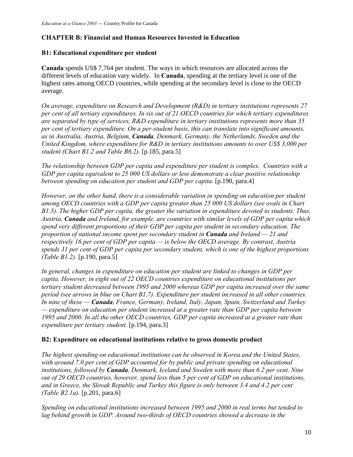#### **CHAPTER B: Financial and Human Resources Invested in Education**

#### **B1: Educational expenditure per student**

**Canada** spends US\$ 7,764 per student. The ways in which resources are allocated across the different levels of education vary widely. In **Canada**, spending at the tertiary level is one of the highest rates among OECD countries, while spending at the secondary level is close to the OECD average.

*On average, expenditure on Research and Development (R&D) in tertiary institutions represents 27 per cent of all tertiary expenditures. In six out of 21 OECD countries for which tertiary expenditures are separated by type of services, R&D expenditure in tertiary institutions represents more than 35 per cent of tertiary expenditure. On a per-student basis, this can translate into significant amounts, as in Australia, Austria, Belgium, Canada, Denmark, Germany, the Netherlands, Sweden and the United Kingdom, where expenditure for R&D in tertiary institutions amounts to over US\$ 3,000 per student (Chart B1.2 and Table B6.2).* [p.185, para.5]

*The relationship between GDP per capita and expenditure per student is complex. Countries with a GDP per capita equivalent to 25 000 US dollars or less demonstrate a clear positive relationship between spending on education per student and GDP per capita.* [p.190, para.4]

*However, on the other hand, there is a considerable variation in spending on education per student among OECD countries with a GDP per capita greater than 25 000 US dollars (see ovals in Chart B1.5). The higher GDP per capita, the greater the variation in expenditure devoted to students. Thus, Austria, Canada and Ireland, for example, are countries with similar levels of GDP per capita which spend very different proportions of their GDP per capita per student in secondary education. The proportion of national income spent per secondary student in Canada and Ireland — 21 and respectively 16 per cent of GDP per capita — is below the OECD average. By contrast, Austria spends 31 per cent of GDP per capita per secondary student, which is one of the highest proportions (Table B1.2).* [p.190, para.5]

*In general, changes in expenditure on education per student are linked to changes in GDP per capita. However, in eight out of 22 OECD countries expenditure on educational institutions per tertiary student decreased between 1995 and 2000 whereas GDP per capita increased over the same period (see arrows in blue on Chart B1.7). Expenditure per student increased in all other countries. In nine of these — Canada, France, Germany, Ireland, Italy, Japan, Spain, Switzerland and Turkey — expenditure on education per student increased at a greater rate than GDP per capita between 1995 and 2000. In all the other OECD countries, GDP per capita increased at a greater rate than expenditure per tertiary student.* [p.194, para.3]

#### **B2: Expenditure on educational institutions relative to gross domestic product**

*The highest spending on educational institutions can be observed in Korea and the United States, with around 7.0 per cent of GDP accounted for by public and private spending on educational institutions, followed by Canada, Denmark, Iceland and Sweden with more than 6.2 per cent. Nine out of 29 OECD countries, however, spend less than 5 per cent of GDP on educational institutions, and in Greece, the Slovak Republic and Turkey this figure is only between 3.4 and 4.2 per cent (Table B2.1a).* [p.201, para.6]

*Spending on educational institutions increased between 1995 and 2000 in real terms but tended to lag behind growth in GDP. Around two-thirds of OECD countries showed a decrease in the*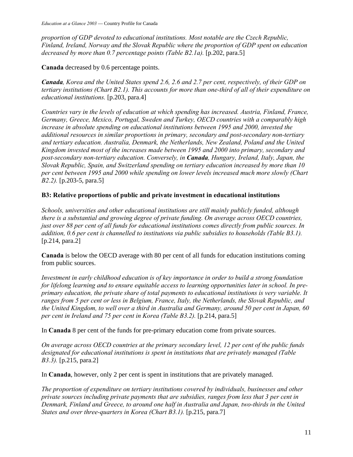*proportion of GDP devoted to educational institutions. Most notable are the Czech Republic, Finland, Ireland, Norway and the Slovak Republic where the proportion of GDP spent on education decreased by more than 0.7 percentage points (Table B2.1a).* [p.202, para.5]

**Canada** decreased by 0.6 percentage points.

*Canada, Korea and the United States spend 2.6, 2.6 and 2.7 per cent, respectively, of their GDP on tertiary institutions (Chart B2.1). This accounts for more than one-third of all of their expenditure on educational institutions.* [p.203, para.4]

*Countries vary in the levels of education at which spending has increased. Austria, Finland, France, Germany, Greece, Mexico, Portugal, Sweden and Turkey, OECD countries with a comparably high increase in absolute spending on educational institutions between 1995 and 2000, invested the additional resources in similar proportions in primary, secondary and post-secondary non-tertiary and tertiary education. Australia, Denmark, the Netherlands, New Zealand, Poland and the United Kingdom invested most of the increases made between 1995 and 2000 into primary, secondary and post-secondary non-tertiary education. Conversely, in Canada, Hungary, Ireland, Italy, Japan, the Slovak Republic, Spain, and Switzerland spending on tertiary education increased by more than 10 per cent between 1995 and 2000 while spending on lower levels increased much more slowly (Chart B2.2).* [p.203-5, para.5]

#### **B3: Relative proportions of public and private investment in educational institutions**

*Schools, universities and other educational institutions are still mainly publicly funded, although there is a substantial and growing degree of private funding. On average across OECD countries, just over 88 per cent of all funds for educational institutions comes directly from public sources. In addition, 0.6 per cent is channelled to institutions via public subsidies to households (Table B3.1).* [p.214, para.2]

**Canada** is below the OECD average with 80 per cent of all funds for education institutions coming from public sources.

*Investment in early childhood education is of key importance in order to build a strong foundation for lifelong learning and to ensure equitable access to learning opportunities later in school. In preprimary education, the private share of total payments to educational institutions is very variable. It ranges from 5 per cent or less in Belgium, France, Italy, the Netherlands, the Slovak Republic, and the United Kingdom, to well over a third in Australia and Germany, around 50 per cent in Japan, 60 per cent in Ireland and 75 per cent in Korea (Table B3.2).* [p.214, para.5]

In **Canada** 8 per cent of the funds for pre-primary education come from private sources.

*On average across OECD countries at the primary secondary level, 12 per cent of the public funds designated for educational institutions is spent in institutions that are privately managed (Table B3.3).* [p.215, para.2]

In **Canada**, however, only 2 per cent is spent in institutions that are privately managed.

*The proportion of expenditure on tertiary institutions covered by individuals, businesses and other private sources including private payments that are subsidies, ranges from less that 3 per cent in Denmark, Finland and Greece, to around one half in Australia and Japan, two-thirds in the United States and over three-quarters in Korea (Chart B3.1).* [p.215, para.7]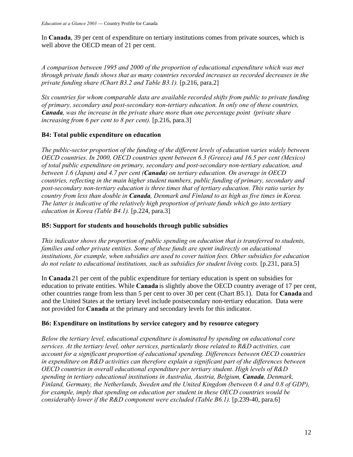In **Canada**, 39 per cent of expenditure on tertiary institutions comes from private sources, which is well above the OECD mean of 21 per cent.

*A comparison between 1995 and 2000 of the proportion of educational expenditure which was met through private funds shows that as many countries recorded increases as recorded decreases in the private funding share (Chart B3.2 and Table B3.1).* [p.216, para.2]

*Six countries for whom comparable data are available recorded shifts from public to private funding of primary, secondary and post-secondary non-tertiary education. In only one of these countries, Canada, was the increase in the private share more than one percentage point (private share increasing from 6 per cent to 8 per cent).* [p.216, para.3]

#### **B4: Total public expenditure on education**

*The public-sector proportion of the funding of the different levels of education varies widely between OECD countries. In 2000, OECD countries spent between 6.3 (Greece) and 16.5 per cent (Mexico) of total public expenditure on primary, secondary and post-secondary non-tertiary education, and between 1.6 (Japan) and 4.7 per cent (Canada) on tertiary education. On average in OECD countries, reflecting in the main higher student numbers, public funding of primary, secondary and post-secondary non-tertiary education is three times that of tertiary education. This ratio varies by country from less than double in Canada, Denmark and Finland to as high as five times in Korea. The latter is indicative of the relatively high proportion of private funds which go into tertiary education in Korea (Table B4.1).* [p.224, para.3]

#### **B5: Support for students and households through public subsidies**

*This indicator shows the proportion of public spending on education that is transferred to students, families and other private entities. Some of these funds are spent indirectly on educational institutions, for example, when subsidies are used to cover tuition fees. Other subsidies for education do not relate to educational institutions, such as subsidies for student living costs.* [p.231, para.5]

In **Canada** 21 per cent of the public expenditure for tertiary education is spent on subsidies for education to private entities. While **Canada** is slightly above the OECD country average of 17 per cent, other countries range from less than 5 per cent to over 30 per cent (Chart B5.1). Data for **Canada** and and the United States at the tertiary level include postsecondary non-tertiary education. Data were not provided for **Canada** at the primary and secondary levels for this indicator.

#### **B6: Expenditure on institutions by service category and by resource category**

*Below the tertiary level, educational expenditure is dominated by spending on educational core services. At the tertiary level, other services, particularly those related to R&D activities, can account for a significant proportion of educational spending. Differences between OECD countries in expenditure on R&D activities can therefore explain a significant part of the differences between OECD countries in overall educational expenditure per tertiary student. High levels of R&D spending in tertiary educational institutions in Australia, Austria, Belgium, Canada, Denmark, Finland, Germany, the Netherlands, Sweden and the United Kingdom (between 0.4 and 0.8 of GDP), for example, imply that spending on education per student in these OECD countries would be considerably lower if the R&D component were excluded (Table B6.1).* [p.239-40, para.6]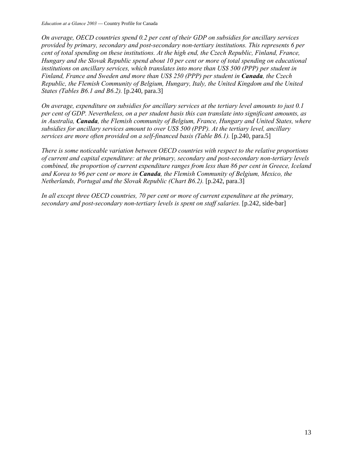*Education at a Glance 2003* — Country Profile for Canada

*On average, OECD countries spend 0.2 per cent of their GDP on subsidies for ancillary services provided by primary, secondary and post-secondary non-tertiary institutions. This represents 6 per cent of total spending on these institutions. At the high end, the Czech Republic, Finland, France, Hungary and the Slovak Republic spend about 10 per cent or more of total spending on educational institutions on ancillary services, which translates into more than US\$ 500 (PPP) per student in Finland, France and Sweden and more than US\$ 250 (PPP) per student in Canada, the Czech Republic, the Flemish Community of Belgium, Hungary, Italy, the United Kingdom and the United States (Tables B6.1 and B6.2).* [p.240, para.3]

*On average, expenditure on subsidies for ancillary services at the tertiary level amounts to just 0.1 per cent of GDP. Nevertheless, on a per student basis this can translate into significant amounts, as in Australia, Canada, the Flemish community of Belgium, France, Hungary and United States, where subsidies for ancillary services amount to over US\$ 500 (PPP). At the tertiary level, ancillary services are more often provided on a self-financed basis (Table B6.1).* [p.240, para.5]

*There is some noticeable variation between OECD countries with respect to the relative proportions of current and capital expenditure: at the primary, secondary and post-secondary non-tertiary levels combined, the proportion of current expenditure ranges from less than 86 per cent in Greece, Iceland and Korea to 96 per cent or more in Canada, the Flemish Community of Belgium, Mexico, the Netherlands, Portugal and the Slovak Republic (Chart B6.2).* [p.242, para.3]

*In all except three OECD countries, 70 per cent or more of current expenditure at the primary, secondary and post-secondary non-tertiary levels is spent on staff salaries.* [p.242, side-bar]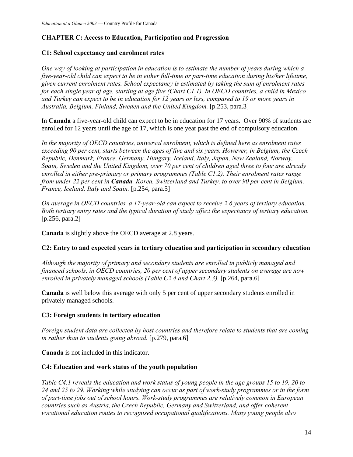#### **CHAPTER C: Access to Education, Participation and Progression**

#### **C1: School expectancy and enrolment rates**

*One way of looking at participation in education is to estimate the number of years during which a five-year-old child can expect to be in either full-time or part-time education during his/her lifetime, given current enrolment rates. School expectancy is estimated by taking the sum of enrolment rates for each single year of age, starting at age five (Chart C1.1). In OECD countries, a child in Mexico and Turkey can expect to be in education for 12 years or less, compared to 19 or more years in Australia, Belgium, Finland, Sweden and the United Kingdom.* [p.253, para.3]

In **Canada** a five-year-old child can expect to be in education for 17 years. Over 90% of students are enrolled for 12 years until the age of 17, which is one year past the end of compulsory education.

*In the majority of OECD countries, universal enrolment, which is defined here as enrolment rates exceeding 90 per cent, starts between the ages of five and six years. However, in Belgium, the Czech Republic, Denmark, France, Germany, Hungary, Iceland, Italy, Japan, New Zealand, Norway, Spain, Sweden and the United Kingdom, over 70 per cent of children aged three to four are already enrolled in either pre-primary or primary programmes (Table C1.2). Their enrolment rates range from under 22 per cent in Canada, Korea, Switzerland and Turkey, to over 90 per cent in Belgium, France, Iceland, Italy and Spain.* [p.254, para.5]

*On average in OECD countries, a 17-year-old can expect to receive 2.6 years of tertiary education. Both tertiary entry rates and the typical duration of study affect the expectancy of tertiary education.* [p.256, para.2]

**Canada** is slightly above the OECD average at 2.8 years.

#### **C2: Entry to and expected years in tertiary education and participation in secondary education**

*Although the majority of primary and secondary students are enrolled in publicly managed and financed schools, in OECD countries, 20 per cent of upper secondary students on average are now enrolled in privately managed schools (Table C2.4 and Chart 2.3).* [p.264, para.6]

**Canada** is well below this average with only 5 per cent of upper secondary students enrolled in privately managed schools.

#### **C3: Foreign students in tertiary education**

*Foreign student data are collected by host countries and therefore relate to students that are coming in rather than to students going abroad.* [p.279, para.6]

**Canada** is not included in this indicator.

#### **C4: Education and work status of the youth population**

*Table C4.1 reveals the education and work status of young people in the age groups 15 to 19, 20 to 24 and 25 to 29. Working while studying can occur as part of work-study programmes or in the form of part-time jobs out of school hours. Work-study programmes are relatively common in European countries such as Austria, the Czech Republic, Germany and Switzerland, and offer coherent vocational education routes to recognised occupational qualifications. Many young people also*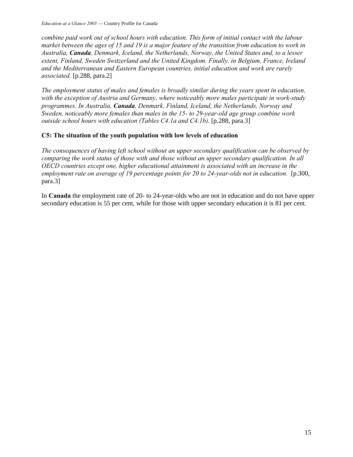*combine paid work out of school hours with education. This form of initial contact with the labour market between the ages of 15 and 19 is a major feature of the transition from education to work in Australia, Canada, Denmark, Iceland, the Netherlands, Norway, the United States and, to a lesser extent, Finland, Sweden Switzerland and the United Kingdom. Finally, in Belgium, France, Ireland and the Mediterranean and Eastern European countries, initial education and work are rarely associated.* [p.288, para.2]

*The employment status of males and females is broadly similar during the years spent in education, with the exception of Austria and Germany, where noticeably more males participate in work-study programmes. In Australia, Canada, Denmark, Finland, Iceland, the Netherlands, Norway and Sweden, noticeably more females than males in the 15- to 29-year-old age group combine work outside school hours with education (Tables C4.1a and C4.1b).* [p.288, para.3]

#### **C5: The situation of the youth population with low levels of education**

*The consequences of having left school without an upper secondary qualification can be observed by comparing the work status of those with and those without an upper secondary qualification. In all OECD countries except one, higher educational attainment is associated with an increase in the employment rate on average of 19 percentage points for 20 to 24-year-olds not in education.* [p.300, para.3]

In **Canada** the employment rate of 20- to 24-year-olds who are not in education and do not have upper secondary education is 55 per cent, while for those with upper secondary education it is 81 per cent*.*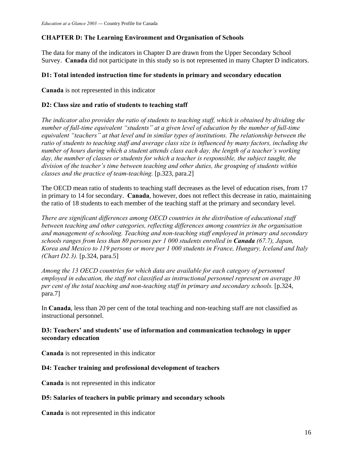#### **CHAPTER D: The Learning Environment and Organisation of Schools**

The data for many of the indicators in Chapter D are drawn from the Upper Secondary School Survey. **Canada** did not participate in this study so is not represented in many Chapter D indicators.

#### **D1: Total intended instruction time for students in primary and secondary education**

**Canada** is not represented in this indicator

#### **D2: Class size and ratio of students to teaching staff**

*The indicator also provides the ratio of students to teaching staff, which is obtained by dividing the number of full-time equivalent "students" at a given level of education by the number of full-time equivalent "teachers" at that level and in similar types of institutions. The relationship between the ratio of students to teaching staff and average class size is influenced by many factors, including the number of hours during which a student attends class each day, the length of a teacher's working*  day, the number of classes or students for which a teacher is responsible, the subject taught, the *division of the teacher's time between teaching and other duties, the grouping of students within classes and the practice of team-teaching.* [p.323, para.2]

The OECD mean ratio of students to teaching staff decreases as the level of education rises, from 17 in primary to 14 for secondary. **Canada**, however, does not reflect this decrease in ratio, maintaining the ratio of 18 students to each member of the teaching staff at the primary and secondary level.

*There are significant differences among OECD countries in the distribution of educational staff between teaching and other categories, reflecting differences among countries in the organisation and management of schooling. Teaching and non-teaching staff employed in primary and secondary schools ranges from less than 80 persons per 1 000 students enrolled in Canada (67.7), Japan, Korea and Mexico to 119 persons or more per 1 000 students in France, Hungary, Iceland and Italy (Chart D2.3).* [p.324, para.5]

*Among the 13 OECD countries for which data are available for each category of personnel employed in education, the staff not classified as instructional personnel represent on average 30 per cent of the total teaching and non-teaching staff in primary and secondary schools.* [p.324, para.7]

In **Canada**, less than 20 per cent of the total teaching and non-teaching staff are not classified as instructional personnel.

#### **D3: Teachers' and students' use of information and communication technology in upper secondary education**

**Canada** is not represented in this indicator

#### **D4: Teacher training and professional development of teachers**

**Canada** is not represented in this indicator

#### **D5: Salaries of teachers in public primary and secondary schools**

**Canada** is not represented in this indicator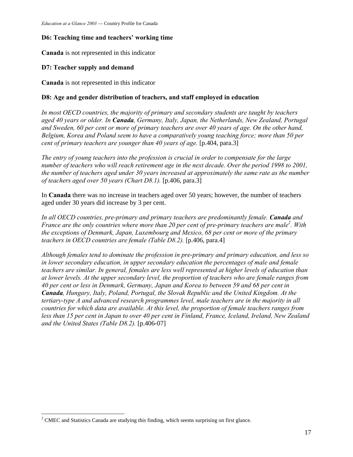#### **D6: Teaching time and teachers' working time**

**Canada** is not represented in this indicator

#### **D7: Teacher supply and demand**

**Canada** is not represented in this indicator

#### **D8: Age and gender distribution of teachers, and staff employed in education**

*In most OECD countries, the majority of primary and secondary students are taught by teachers aged 40 years or older. In Canada, Germany, Italy, Japan, the Netherlands, New Zealand, Portugal and Sweden, 60 per cent or more of primary teachers are over 40 years of age. On the other hand, Belgium, Korea and Poland seem to have a comparatively young teaching force; more than 50 per cent of primary teachers are younger than 40 years of age.* [p.404, para.3]

*The entry of young teachers into the profession is crucial in order to compensate for the large number of teachers who will reach retirement age in the next decade. Over the period 1998 to 2001, the number of teachers aged under 30 years increased at approximately the same rate as the number of teachers aged over 50 years (Chart D8.1).* [p.406, para.3]

In **Canada** there was no increase in teachers aged over 50 years; however, the number of teachers aged under 30 years did increase by 3 per cent.

*In all OECD countries, pre-primary and primary teachers are predominantly female. Canada and France are the only countries where more than 20 per cent of pre-primary teachers are male<sup>2</sup>. With the exceptions of Denmark, Japan, Luxembourg and Mexico, 68 per cent or more of the primary teachers in OECD countries are female (Table D8.2).* [p.406, para.4]

*Although females tend to dominate the profession in pre-primary and primary education, and less so in lower secondary education, in upper secondary education the percentages of male and female teachers are similar. In general, females are less well represented at higher levels of education than at lower levels. At the upper secondary level, the proportion of teachers who are female ranges from 40 per cent or less in Denmark, Germany, Japan and Korea to between 59 and 68 per cent in Canada, Hungary, Italy, Poland, Portugal, the Slovak Republic and the United Kingdom. At the tertiary-type A and advanced research programmes level, male teachers are in the majority in all countries for which data are available. At this level, the proportion of female teachers ranges from less than 15 per cent in Japan to over 40 per cent in Finland, France, Iceland, Ireland, New Zealand and the United States (Table D8.2).* [p.406-07]

 $2^2$  CMEC and Statistics Canada are studying this finding, which seems surprising on first glance.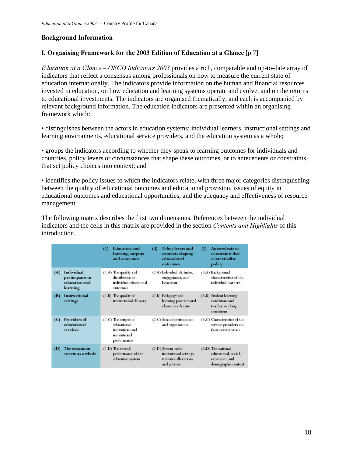#### **Background Information**

#### **I. Organising Framework for the 2003 Edition of Education at a Glance** [p.7]

*Education at a Glance – OECD Indicators 2003* provides a rich, comparable and up-to-date array of indicators that reflect a consensus among professionals on how to measure the current state of education internationally. The indicators provide information on the human and financial resources invested in education, on how education and learning systems operate and evolve, and on the returns to educational investments. The indicators are organised thematically, and each is accompanied by relevant background information. The education indicators are presented within an organising framework which:

• distinguishes between the actors in education systems: individual learners, instructional settings and learning environments, educational service providers, and the education system as a whole;

• groups the indicators according to whether they speak to learning outcomes for individuals and countries, policy levers or circumstances that shape these outcomes, or to antecedents or constraints that set policy choices into context; and

• identifies the policy issues to which the indicators relate, with three major categories distinguishing between the quality of educational outcomes and educational provision, issues of equity in educational outcomes and educational opportunities, and the adequacy and effectiveness of resource management.

The following matrix describes the first two dimensions. References between the individual indicators and the cells in this matrix are provided in the section *Contents and Highlights* of this introduction.

|     |                                                            | $\left(1\right)$ | <b>Education</b> and<br>learning outputs<br>and outcomes                                  | (2) | Policy levers and<br>contexts shaping<br>educational<br>outcomes                      | (3) | Antecedents or<br>constraints that<br>contextualise<br>policy                        |
|-----|------------------------------------------------------------|------------------|-------------------------------------------------------------------------------------------|-----|---------------------------------------------------------------------------------------|-----|--------------------------------------------------------------------------------------|
| (A) | Individual<br>participants in<br>education and<br>learning |                  | (1.A) The quality and<br>distribution of<br>individual educational<br>outcomes            |     | (2.A) Individual attitudes,<br>engagement, and<br>behaviour                           |     | (3.A) Background<br>characteristics of the<br>individual learners                    |
| (B) | Instructional<br>settings                                  |                  | $(1.B)$ The quality of<br>instructional delivery                                          |     | (2.B) Pedagogy and<br>learning practices and<br>dassroom dimate                       |     | (3.B) Student learning<br>conditions and<br>teacher working<br>conditions            |
| (C) | Providers of<br>educational<br>services                    |                  | $(1, C)$ The output of<br>educational<br>institutions and<br>institutional<br>performance |     | $(2, C)$ School environment<br>and organisation                                       |     | (3.C) Characteristics of the<br>service providers and<br>their communities           |
| (D) | The education<br>system as a whole                         |                  | $(1.D)$ The overall<br>performance of the<br>education system                             |     | (2.D) System-wide<br>institutional settings,<br>resource allocations,<br>and policies |     | $(3.D)$ The national<br>educational, social,<br>economic, and<br>demographic context |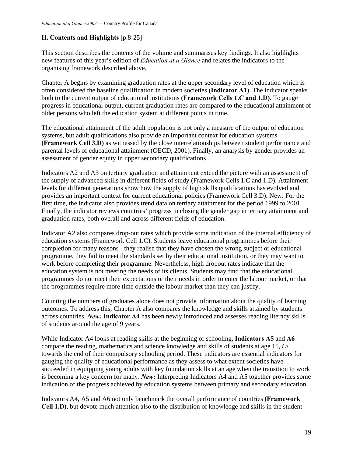#### **II. Contents and Highlights** [p.8-25]

This section describes the contents of the volume and summarises key findings. It also highlights new features of this year's edition of *Education at a Glance* and relates the indicators to the organising framework described above.

Chapter A begins by examining graduation rates at the upper secondary level of education which is often considered the baseline qualification in modern societies **(Indicator A1)**. The indicator speaks both to the current output of educational institutions **(Framework Cells 1.C and 1.D)**. To gauge progress in educational output, current graduation rates are compared to the educational attainment of older persons who left the education system at different points in time.

The educational attainment of the adult population is not only a measure of the output of education systems, but adult qualifications also provide an important context for education systems **(Framework Cell 3.D)** as witnessed by the close interrelationships between student performance and parental levels of educational attainment (OECD, 2001). Finally, an analysis by gender provides an assessment of gender equity in upper secondary qualifications.

Indicators A2 and A3 on tertiary graduation and attainment extend the picture with an assessment of the supply of advanced skills in different fields of study (Framework Cells 1.C and 1.D). Attainment levels for different generations show how the supply of high skills qualifications has evolved and provides an important context for current educational policies (Framework Cell 3.D). New: For the first time, the indicator also provides trend data on tertiary attainment for the period 1999 to 2001. Finally, the indicator reviews countries' progress in closing the gender gap in tertiary attainment and graduation rates, both overall and across different fields of education.

Indicator A2 also compares drop-out rates which provide some indication of the internal efficiency of education systems (Framework Cell 1.C). Students leave educational programmes before their completion for many reasons - they realise that they have chosen the wrong subject or educational programme, they fail to meet the standards set by their educational institution, or they may want to work before completing their programme. Nevertheless, high dropout rates indicate that the education system is not meeting the needs of its clients. Students may find that the educational programmes do not meet their expectations or their needs in order to enter the labour market, or that the programmes require more time outside the labour market than they can justify.

Counting the numbers of graduates alone does not provide information about the quality of learning outcomes. To address this, Chapter A also compares the knowledge and skills attained by students across countries. *New:* **Indicator A4** has been newly introduced and assesses reading literacy skills of students around the age of 9 years.

While Indicator A4 looks at reading skills at the beginning of schooling, **Indicators A5** and **A6** compare the reading, mathematics and science knowledge and skills of students at age 15, *i.e.* towards the end of their compulsory schooling period. These indicators are essential indicators for gauging the quality of educational performance as they assess to what extent societies have succeeded in equipping young adults with key foundation skills at an age when the transition to work is becoming a key concern for many. *New:* Interpreting Indicators A4 and A5 together provides some indication of the progress achieved by education systems between primary and secondary education.

Indicators A4, A5 and A6 not only benchmark the overall performance of countries **(Framework Cell 1.D)**, but devote much attention also to the distribution of knowledge and skills in the student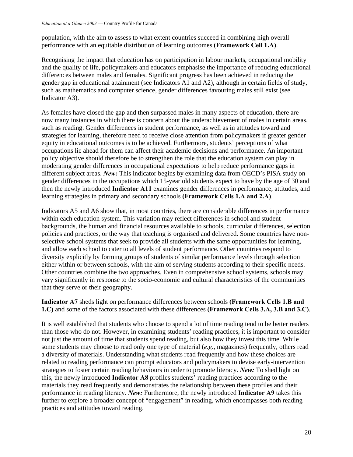population, with the aim to assess to what extent countries succeed in combining high overall performance with an equitable distribution of learning outcomes **(Framework Cell 1.A)**.

Recognising the impact that education has on participation in labour markets, occupational mobility and the quality of life, policymakers and educators emphasise the importance of reducing educational differences between males and females. Significant progress has been achieved in reducing the gender gap in educational attainment (see Indicators A1 and A2), although in certain fields of study, such as mathematics and computer science, gender differences favouring males still exist (see Indicator A3).

As females have closed the gap and then surpassed males in many aspects of education, there are now many instances in which there is concern about the underachievement of males in certain areas, such as reading. Gender differences in student performance, as well as in attitudes toward and strategies for learning, therefore need to receive close attention from policymakers if greater gender equity in educational outcomes is to be achieved. Furthermore, students' perceptions of what occupations lie ahead for them can affect their academic decisions and performance. An important policy objective should therefore be to strengthen the role that the education system can play in moderating gender differences in occupational expectations to help reduce performance gaps in different subject areas. *New:* This indicator begins by examining data from OECD's PISA study on gender differences in the occupations which 15-year old students expect to have by the age of 30 and then the newly introduced **Indicator A11** examines gender differences in performance, attitudes, and learning strategies in primary and secondary schools **(Framework Cells 1.A and 2.A)**.

Indicators A5 and A6 show that, in most countries, there are considerable differences in performance within each education system. This variation may reflect differences in school and student backgrounds, the human and financial resources available to schools, curricular differences, selection policies and practices, or the way that teaching is organised and delivered. Some countries have nonselective school systems that seek to provide all students with the same opportunities for learning, and allow each school to cater to all levels of student performance. Other countries respond to diversity explicitly by forming groups of students of similar performance levels through selection either within or between schools, with the aim of serving students according to their specific needs. Other countries combine the two approaches. Even in comprehensive school systems, schools may vary significantly in response to the socio-economic and cultural characteristics of the communities that they serve or their geography.

**Indicator A7** sheds light on performance differences between schools **(Framework Cells 1.B and 1.C)** and some of the factors associated with these differences **(Framework Cells 3.A, 3.B and 3.C)**.

It is well established that students who choose to spend a lot of time reading tend to be better readers than those who do not. However, in examining students' reading practices, it is important to consider not just the amount of time that students spend reading, but also how they invest this time. While some students may choose to read only one type of material (*e.g.*, magazines) frequently, others read a diversity of materials. Understanding what students read frequently and how these choices are related to reading performance can prompt educators and policymakers to devise early-intervention strategies to foster certain reading behaviours in order to promote literacy. *New:* To shed light on this, the newly introduced **Indicator A8** profiles students' reading practices according to the materials they read frequently and demonstrates the relationship between these profiles and their performance in reading literacy. *New:* Furthermore, the newly introduced **Indicator A9** takes this further to explore a broader concept of "engagement" in reading, which encompasses both reading practices and attitudes toward reading.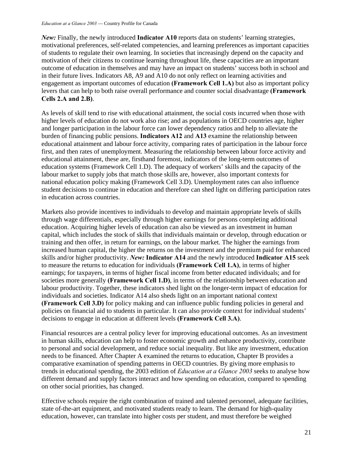*New:* Finally, the newly introduced **Indicator A10** reports data on students' learning strategies, motivational preferences, self-related competencies, and learning preferences as important capacities of students to regulate their own learning. In societies that increasingly depend on the capacity and motivation of their citizens to continue learning throughout life, these capacities are an important outcome of education in themselves and may have an impact on students' success both in school and in their future lives. Indicators A8, A9 and A10 do not only reflect on learning activities and engagement as important outcomes of education **(Framework Cell 1.A)** but also as important policy levers that can help to both raise overall performance and counter social disadvantage **(Framework Cells 2.A and 2.B)**.

As levels of skill tend to rise with educational attainment, the social costs incurred when those with higher levels of education do not work also rise; and as populations in OECD countries age, higher and longer participation in the labour force can lower dependency ratios and help to alleviate the burden of financing public pensions. **Indicators A12** and **A13** examine the relationship between educational attainment and labour force activity, comparing rates of participation in the labour force first, and then rates of unemployment. Measuring the relationship between labour force activity and educational attainment, these are, firsthand foremost, indicators of the long-term outcomes of education systems (Framework Cell 1.D). The adequacy of workers' skills and the capacity of the labour market to supply jobs that match those skills are, however, also important contexts for national education policy making (Framework Cell 3.D). Unemployment rates can also influence student decisions to continue in education and therefore can shed light on differing participation rates in education across countries.

Markets also provide incentives to individuals to develop and maintain appropriate levels of skills through wage differentials, especially through higher earnings for persons completing additional education. Acquiring higher levels of education can also be viewed as an investment in human capital, which includes the stock of skills that individuals maintain or develop, through education or training and then offer, in return for earnings, on the labour market. The higher the earnings from increased human capital, the higher the returns on the investment and the premium paid for enhanced skills and/or higher productivity. *New:* **Indicator A14** and the newly introduced **Indicator A15** seek to measure the returns to education for individuals **(Framework Cell 1.A)**, in terms of higher earnings; for taxpayers, in terms of higher fiscal income from better educated individuals; and for societies more generally **(Framework Cell 1.D)**, in terms of the relationship between education and labour productivity. Together, these indicators shed light on the longer-term impact of education for individuals and societies. Indicator A14 also sheds light on an important national context **(Framework Cell 3.D)** for policy making and can influence public funding policies in general and policies on financial aid to students in particular. It can also provide context for individual students' decisions to engage in education at different levels **(Framework Cell 3.A)**.

Financial resources are a central policy lever for improving educational outcomes. As an investment in human skills, education can help to foster economic growth and enhance productivity, contribute to personal and social development, and reduce social inequality. But like any investment, education needs to be financed. After Chapter A examined the returns to education, Chapter B provides a comparative examination of spending patterns in OECD countries. By giving more emphasis to trends in educational spending, the 2003 edition of *Education at a Glance 2003* seeks to analyse how different demand and supply factors interact and how spending on education, compared to spending on other social priorities, has changed.

Effective schools require the right combination of trained and talented personnel, adequate facilities, state of-the-art equipment, and motivated students ready to learn. The demand for high-quality education, however, can translate into higher costs per student, and must therefore be weighed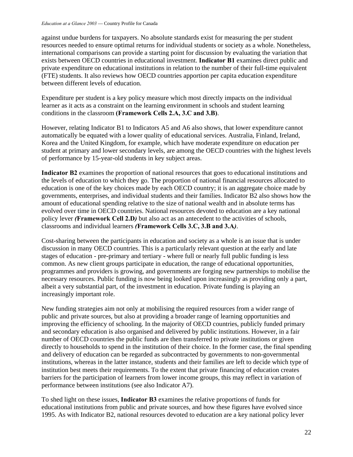against undue burdens for taxpayers. No absolute standards exist for measuring the per student resources needed to ensure optimal returns for individual students or society as a whole. Nonetheless, international comparisons can provide a starting point for discussion by evaluating the variation that exists between OECD countries in educational investment. **Indicator B1** examines direct public and private expenditure on educational institutions in relation to the number of their full-time equivalent (FTE) students. It also reviews how OECD countries apportion per capita education expenditure between different levels of education.

Expenditure per student is a key policy measure which most directly impacts on the individual learner as it acts as a constraint on the learning environment in schools and student learning conditions in the classroom **(Framework Cells 2.A, 3.C and 3.B)**.

However, relating Indicator B1 to Indicators A5 and A6 also shows, that lower expenditure cannot automatically be equated with a lower quality of educational services. Australia, Finland, Ireland, Korea and the United Kingdom, for example, which have moderate expenditure on education per student at primary and lower secondary levels, are among the OECD countries with the highest levels of performance by 15-year-old students in key subject areas.

**Indicator B2** examines the proportion of national resources that goes to educational institutions and the levels of education to which they go. The proportion of national financial resources allocated to education is one of the key choices made by each OECD country; it is an aggregate choice made by governments, enterprises, and individual students and their families. Indicator B2 also shows how the amount of educational spending relative to the size of national wealth and in absolute terms has evolved over time in OECD countries. National resources devoted to education are a key national policy lever *(***Framework Cell 2.D***)* but also act as an antecedent to the activities of schools, classrooms and individual learners *(***Framework Cells 3.C, 3.B and 3.A***)*.

Cost-sharing between the participants in education and society as a whole is an issue that is under discussion in many OECD countries. This is a particularly relevant question at the early and late stages of education - pre-primary and tertiary - where full or nearly full public funding is less common. As new client groups participate in education, the range of educational opportunities, programmes and providers is growing, and governments are forging new partnerships to mobilise the necessary resources. Public funding is now being looked upon increasingly as providing only a part, albeit a very substantial part, of the investment in education. Private funding is playing an increasingly important role.

New funding strategies aim not only at mobilising the required resources from a wider range of public and private sources, but also at providing a broader range of learning opportunities and improving the efficiency of schooling. In the majority of OECD countries, publicly funded primary and secondary education is also organised and delivered by public institutions. However, in a fair number of OECD countries the public funds are then transferred to private institutions or given directly to households to spend in the institution of their choice. In the former case, the final spending and delivery of education can be regarded as subcontracted by governments to non-governmental institutions, whereas in the latter instance, students and their families are left to decide which type of institution best meets their requirements. To the extent that private financing of education creates barriers for the participation of learners from lower income groups, this may reflect in variation of performance between institutions (see also Indicator A7).

To shed light on these issues, **Indicator B3** examines the relative proportions of funds for educational institutions from public and private sources, and how these figures have evolved since 1995. As with Indicator B2, national resources devoted to education are a key national policy lever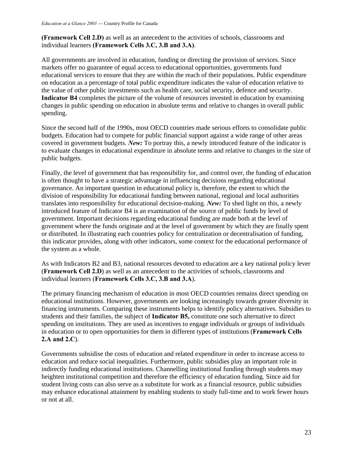**(Framework Cell 2.D)** as well as an antecedent to the activities of schools, classrooms and individual learners **(Framework Cells 3.C, 3.B and 3.A)**.

All governments are involved in education, funding or directing the provision of services. Since markets offer no guarantee of equal access to educational opportunities, governments fund educational services to ensure that they are within the reach of their populations. Public expenditure on education as a percentage of total public expenditure indicates the value of education relative to the value of other public investments such as health care, social security, defence and security. **Indicator B4** completes the picture of the volume of resources invested in education by examining changes in public spending on education in absolute terms and relative to changes in overall public spending.

Since the second half of the 1990s, most OECD countries made serious efforts to consolidate public budgets. Education had to compete for public financial support against a wide range of other areas covered in government budgets. *New:* To portray this, a newly introduced feature of the indicator is to evaluate changes in educational expenditure in absolute terms and relative to changes in the size of public budgets.

Finally, the level of government that has responsibility for, and control over, the funding of education is often thought to have a strategic advantage in influencing decisions regarding educational governance. An important question in educational policy is, therefore, the extent to which the division of responsibility for educational funding between national, regional and local authorities translates into responsibility for educational decision-making. *New:* To shed light on this, a newly introduced feature of Indicator B4 is an examination of the source of public funds by level of government. Important decisions regarding educational funding are made both at the level of government where the funds originate and at the level of government by which they are finally spent or distributed. In illustrating each countries policy for centralization or decentralisation of funding, this indicator provides, along with other indicators, some context for the educational performance of the system as a whole.

As with Indicators B2 and B3, national resources devoted to education are a key national policy lever (**Framework Cell 2.D**) as well as an antecedent to the activities of schools, classrooms and individual learners (**Framework Cells 3.C, 3.B and 3.A**).

The primary financing mechanism of education in most OECD countries remains direct spending on educational institutions. However, governments are looking increasingly towards greater diversity in financing instruments. Comparing these instruments helps to identify policy alternatives. Subsidies to students and their families, the subject of **Indicator B5,** constitute one such alternative to direct spending on institutions. They are used as incentives to engage individuals or groups of individuals in education or to open opportunities for them in different types of institutions (**Framework Cells 2.A and 2.C**).

Governments subsidise the costs of education and related expenditure in order to increase access to education and reduce social inequalities. Furthermore, public subsidies play an important role in indirectly funding educational institutions. Channelling institutional funding through students may heighten institutional competition and therefore the efficiency of education funding. Since aid for student living costs can also serve as a substitute for work as a financial resource, public subsidies may enhance educational attainment by enabling students to study full-time and to work fewer hours or not at all.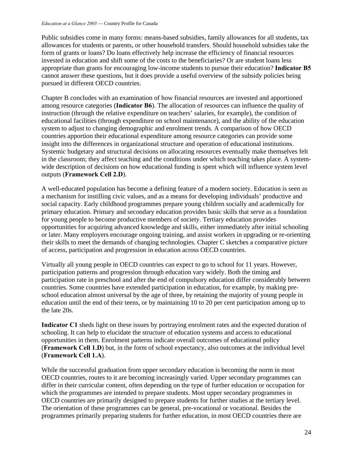Public subsidies come in many forms: means-based subsidies, family allowances for all students, tax allowances for students or parents, or other household transfers. Should household subsidies take the form of grants or loans? Do loans effectively help increase the efficiency of financial resources invested in education and shift some of the costs to the beneficiaries? Or are student loans less appropriate than grants for encouraging low-income students to pursue their education? **Indicator B5**  cannot answer these questions, but it does provide a useful overview of the subsidy policies being pursued in different OECD countries.

Chapter B concludes with an examination of how financial resources are invested and apportioned among resource categories (**Indicator B6**). The allocation of resources can influence the quality of instruction (through the relative expenditure on teachers' salaries, for example), the condition of educational facilities (through expenditure on school maintenance), and the ability of the education system to adjust to changing demographic and enrolment trends. A comparison of how OECD countries apportion their educational expenditure among resource categories can provide some insight into the differences in organizational structure and operation of educational institutions. Systemic budgetary and structural decisions on allocating resources eventually make themselves felt in the classroom; they affect teaching and the conditions under which teaching takes place. A systemwide description of decisions on how educational funding is spent which will influence system level outputs (**Framework Cell 2.D**).

A well-educated population has become a defining feature of a modern society. Education is seen as a mechanism for instilling civic values, and as a means for developing individuals' productive and social capacity. Early childhood programmes prepare young children socially and academically for primary education. Primary and secondary education provides basic skills that serve as a foundation for young people to become productive members of society. Tertiary education provides opportunities for acquiring advanced knowledge and skills, either immediately after initial schooling or later. Many employers encourage ongoing training, and assist workers in upgrading or re-orienting their skills to meet the demands of changing technologies. Chapter C sketches a comparative picture of access, participation and progression in education across OECD countries.

Virtually all young people in OECD countries can expect to go to school for 11 years. However, participation patterns and progression through education vary widely. Both the timing and participation rate in preschool and after the end of compulsory education differ considerably between countries. Some countries have extended participation in education, for example, by making preschool education almost universal by the age of three, by retaining the majority of young people in education until the end of their teens, or by maintaining 10 to 20 per cent participation among up to the late 20s.

**Indicator C1** sheds light on these issues by portraying enrolment rates and the expected duration of schooling. It can help to elucidate the structure of education systems and access to educational opportunities in them. Enrolment patterns indicate overall outcomes of educational policy (**Framework Cell 1.D**) but, in the form of school expectancy, also outcomes at the individual level (**Framework Cell 1.A**).

While the successful graduation from upper secondary education is becoming the norm in most OECD countries, routes to it are becoming increasingly varied. Upper secondary programmes can differ in their curricular content, often depending on the type of further education or occupation for which the programmes are intended to prepare students. Most upper secondary programmes in OECD countries are primarily designed to prepare students for further studies at the tertiary level. The orientation of these programmes can be general, pre-vocational or vocational. Besides the programmes primarily preparing students for further education, in most OECD countries there are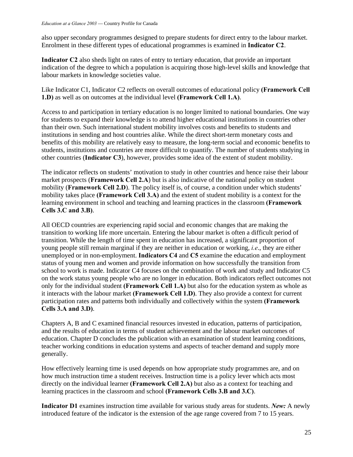also upper secondary programmes designed to prepare students for direct entry to the labour market. Enrolment in these different types of educational programmes is examined in **Indicator C2**.

**Indicator C2** also sheds light on rates of entry to tertiary education, that provide an important indication of the degree to which a population is acquiring those high-level skills and knowledge that labour markets in knowledge societies value.

Like Indicator C1, Indicator C2 reflects on overall outcomes of educational policy **(Framework Cell 1.D)** as well as on outcomes at the individual level **(Framework Cell 1.A)**.

Access to and participation in tertiary education is no longer limited to national boundaries. One way for students to expand their knowledge is to attend higher educational institutions in countries other than their own. Such international student mobility involves costs and benefits to students and institutions in sending and host countries alike. While the direct short-term monetary costs and benefits of this mobility are relatively easy to measure, the long-term social and economic benefits to students, institutions and countries are more difficult to quantify. The number of students studying in other countries (**Indicator C3**), however, provides some idea of the extent of student mobility.

The indicator reflects on students' motivation to study in other countries and hence raise their labour market prospects (**Framework Cell 2.A**) but is also indicative of the national policy on student mobility (**Framework Cell 2.D**). The policy itself is, of course, a condition under which students' mobility takes place **(Framework Cell 3.A)** and the extent of student mobility is a context for the learning environment in school and teaching and learning practices in the classroom **(Framework Cells 3.C and 3.B)**.

All OECD countries are experiencing rapid social and economic changes that are making the transition to working life more uncertain. Entering the labour market is often a difficult period of transition. While the length of time spent in education has increased, a significant proportion of young people still remain marginal if they are neither in education or working, *i.e*., they are either unemployed or in non-employment. **Indicators C4** and **C5** examine the education and employment status of young men and women and provide information on how successfully the transition from school to work is made. Indicator C4 focuses on the combination of work and study and Indicator C5 on the work status young people who are no longer in education. Both indicators reflect outcomes not only for the individual student **(Framework Cell 1.A)** but also for the education system as whole as it interacts with the labour market **(Framework Cell 1.D)**. They also provide a context for current participation rates and patterns both individually and collectively within the system **(Framework Cells 3.A and 3.D)**.

Chapters A, B and C examined financial resources invested in education, patterns of participation, and the results of education in terms of student achievement and the labour market outcomes of education. Chapter D concludes the publication with an examination of student learning conditions, teacher working conditions in education systems and aspects of teacher demand and supply more generally.

How effectively learning time is used depends on how appropriate study programmes are, and on how much instruction time a student receives. Instruction time is a policy lever which acts most directly on the individual learner **(Framework Cell 2.A)** but also as a context for teaching and learning practices in the classroom and school **(Framework Cells 3.B and 3.C)**.

**Indicator D1** examines instruction time available for various study areas for students. *New:* A newly introduced feature of the indicator is the extension of the age range covered from 7 to 15 years.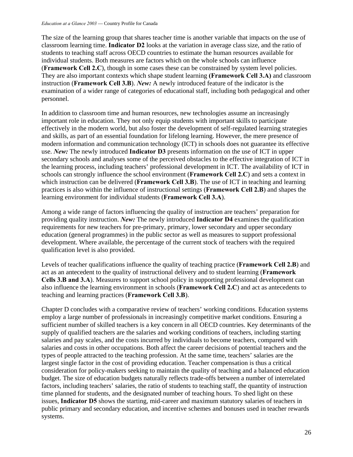The size of the learning group that shares teacher time is another variable that impacts on the use of classroom learning time. **Indicator D2** looks at the variation in average class size, and the ratio of students to teaching staff across OECD countries to estimate the human resources available for individual students. Both measures are factors which on the whole schools can influence (**Framework Cell 2.C**), though in some cases these can be constrained by system level policies. They are also important contexts which shape student learning **(Framework Cell 3.A)** and classroom instruction (**Framework Cell 3.B**). *New:* A newly introduced feature of the indicator is the examination of a wider range of categories of educational staff, including both pedagogical and other personnel.

In addition to classroom time and human resources, new technologies assume an increasingly important role in education. They not only equip students with important skills to participate effectively in the modern world, but also foster the development of self-regulated learning strategies and skills, as part of an essential foundation for lifelong learning. However, the mere presence of modern information and communication technology (ICT) in schools does not guarantee its effective use. *New:* The newly introduced **Indicator D3** presents information on the use of ICT in upper secondary schools and analyses some of the perceived obstacles to the effective integration of ICT in the learning process, including teachers' professional development in ICT. The availability of ICT in schools can strongly influence the school environment (**Framework Cell 2.C**) and sets a context in which instruction can be delivered (**Framework Cell 3.B**). The use of ICT in teaching and learning practices is also within the influence of instructional settings (**Framework Cell 2.B**) and shapes the learning environment for individual students (**Framework Cell 3.A**).

Among a wide range of factors influencing the quality of instruction are teachers' preparation for providing quality instruction. *New:* The newly introduced **Indicator D4** examines the qualification requirements for new teachers for pre-primary, primary, lower secondary and upper secondary education (general programmes) in the public sector as well as measures to support professional development. Where available, the percentage of the current stock of teachers with the required qualification level is also provided.

Levels of teacher qualifications influence the quality of teaching practice (**Framework Cell 2.B**) and act as an antecedent to the quality of instructional delivery and to student learning (**Framework Cells 3.B and 3.A**). Measures to support school policy in supporting professional development can also influence the learning environment in schools (**Framework Cell 2.C**) and act as antecedents to teaching and learning practices (**Framework Cell 3.B**).

Chapter D concludes with a comparative review of teachers' working conditions. Education systems employ a large number of professionals in increasingly competitive market conditions. Ensuring a sufficient number of skilled teachers is a key concern in all OECD countries. Key determinants of the supply of qualified teachers are the salaries and working conditions of teachers, including starting salaries and pay scales, and the costs incurred by individuals to become teachers, compared with salaries and costs in other occupations. Both affect the career decisions of potential teachers and the types of people attracted to the teaching profession. At the same time, teachers' salaries are the largest single factor in the cost of providing education. Teacher compensation is thus a critical consideration for policy-makers seeking to maintain the quality of teaching and a balanced education budget. The size of education budgets naturally reflects trade-offs between a number of interrelated factors, including teachers' salaries, the ratio of students to teaching staff, the quantity of instruction time planned for students, and the designated number of teaching hours. To shed light on these issues, **Indicator D5** shows the starting, mid-career and maximum statutory salaries of teachers in public primary and secondary education, and incentive schemes and bonuses used in teacher rewards systems.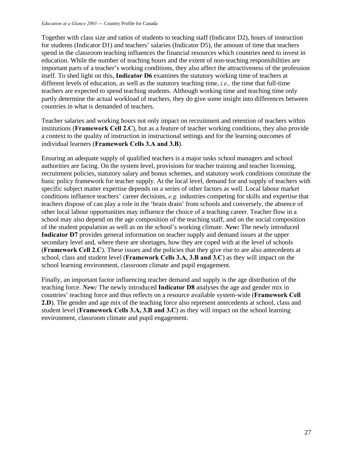Together with class size and ratios of students to teaching staff (Indicator D2), hours of instruction for students (Indicator D1) and teachers' salaries (Indicator D5), the amount of time that teachers spend in the classroom teaching influences the financial resources which countries need to invest in education. While the number of teaching hours and the extent of non-teaching responsibilities are important parts of a teacher's working conditions, they also affect the attractiveness of the profession itself. To shed light on this, **Indicator D6** examines the statutory working time of teachers at different levels of education, as well as the statutory teaching time, *i.e.,* the time that full-time teachers are expected to spend teaching students. Although working time and teaching time only partly determine the actual workload of teachers, they do give some insight into differences between countries in what is demanded of teachers.

Teacher salaries and working hours not only impact on recruitment and retention of teachers within institutions (**Framework Cell 2.C**), but as a feature of teacher working conditions, they also provide a context to the quality of instruction in instructional settings and for the learning outcomes of individual learners (**Framework Cells 3.A and 3.B**).

Ensuring an adequate supply of qualified teachers is a major tasks school managers and school authorities are facing. On the system level, provisions for teacher training and teacher licensing, recruitment policies, statutory salary and bonus schemes, and statutory work conditions constitute the basic policy framework for teacher supply. At the local level, demand for and supply of teachers with specific subject matter expertise depends on a series of other factors as well. Local labour market conditions influence teachers' career decisions, *e.g.* industries competing for skills and expertise that teachers dispose of can play a role in the 'brain drain' from schools and conversely, the absence of other local labour opportunities may influence the choice of a teaching career. Teacher flow in a school may also depend on the age composition of the teaching staff, and on the social composition of the student population as well as on the school's working climate. *New:* The newly introduced **Indicator D7** provides general information on teacher supply and demand issues at the upper secondary level and, where there are shortages, how they are coped with at the level of schools (**Framework Cell 2.C**). These issues and the policies that they give rise to are also antecedents at school, class and student level (**Framework Cells 3.A, 3.B and 3.C**) as they will impact on the school learning environment, classroom climate and pupil engagement.

Finally, an important factor influencing teacher demand and supply is the age distribution of the teaching force. *New:* The newly introduced **Indicator D8** analyses the age and gender mix in countries' teaching force and thus reflects on a resource available system-wide (**Framework Cell 2.D**). The gender and age mix of the teaching force also represent antecedents at school, class and student level (**Framework Cells 3.A, 3.B and 3.C**) as they will impact on the school learning environment, classroom climate and pupil engagement.